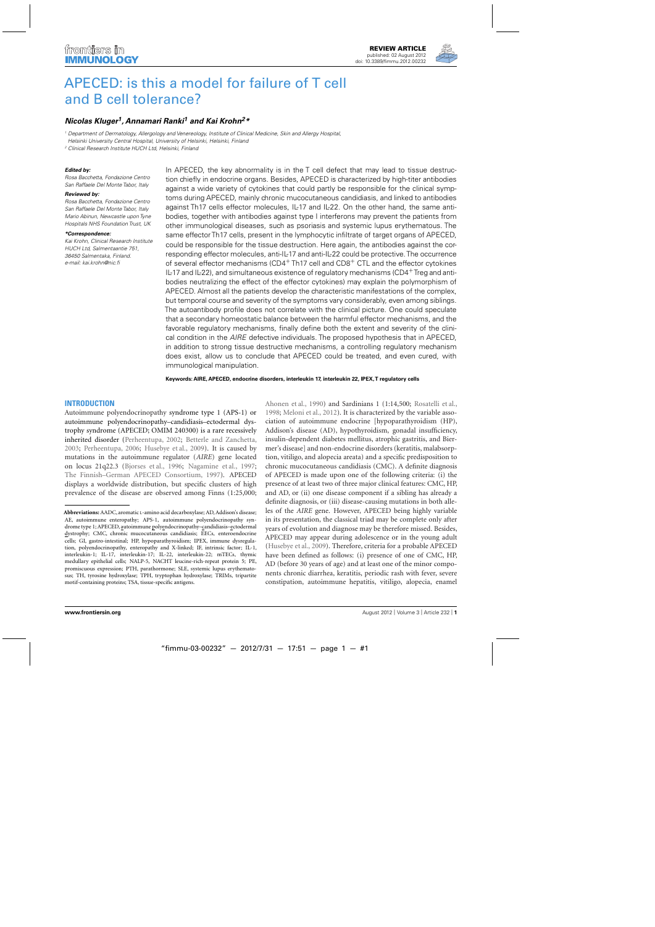

# [APECED: is this a model for failure of T cell](http://www.frontiersin.org/Primary_Immunodeficiencies/10.3389/fimmu.2012.00232/abstract) and B cell tolerance?

## *[Nicolas Kluger](http://www.frontiersin.org/Community/WhosWhoActivity.aspx?sname=NicolasKluger&UID=52647)1, Annamari Ranki1 and Kai Krohn2\**

<sup>1</sup> Department of Dermatology, Allergology and Venereology, Institute of Clinical Medicine, Skin and Allergy Hospital, Helsinki University Central Hospital, University of Helsinki, Helsinki, Finland

<sup>2</sup> Clinical Research Institute HUCH Ltd, Helsinki, Finland

#### *Edited by:*

Rosa Bacchetta, Fondazione Centro San Raffaele Del Monte Tabor, Italy

#### *Reviewed by:*

Rosa Bacchetta, Fondazione Centro San Raffaele Del Monte Tabor, Italy Mario Abinun, Newcastle upon Tyne Hospitals NHS Foundation Trust, UK

#### *\*Correspondence:*

Kai Krohn, Clinical Research Institute HUCH Ltd, Salmentaantie 751, 36450 Salmentaka, Finland. e-mail: [kai.krohn@nic.fi](mailto:kai.krohn@nic.fi)

In APECED, the key abnormality is in the T cell defect that may lead to tissue destruction chiefly in endocrine organs. Besides, APECED is characterized by high-titer antibodies against a wide variety of cytokines that could partly be responsible for the clinical symptoms during APECED, mainly chronic mucocutaneous candidiasis, and linked to antibodies against Th17 cells effector molecules, IL-17 and IL-22. On the other hand, the same antibodies, together with antibodies against type I interferons may prevent the patients from other immunological diseases, such as psoriasis and systemic lupus erythematous. The same effector Th17 cells, present in the lymphocytic infiltrate of target organs of APECED, could be responsible for the tissue destruction. Here again, the antibodies against the corresponding effector molecules, anti-IL-17 and anti-IL-22 could be protective. The occurrence of several effector mechanisms (CD4<sup>+</sup> Th17 cell and CD8<sup>+</sup> CTL and the effector cytokines IL-17 and IL-22), and simultaneous existence of regulatory mechanisms (CD4+ Treg and antibodies neutralizing the effect of the effector cytokines) may explain the polymorphism of APECED. Almost all the patients develop the characteristic manifestations of the complex, but temporal course and severity of the symptoms vary considerably, even among siblings. The autoantibody profile does not correlate with the clinical picture. One could speculate that a secondary homeostatic balance between the harmful effector mechanisms, and the favorable regulatory mechanisms, finally define both the extent and severity of the clinical condition in the AIRE defective individuals. The proposed hypothesis that in APECED, in addition to strong tissue destructive mechanisms, a controlling regulatory mechanism does exist, allow us to conclude that APECED could be treated, and even cured, with immunological manipulation.

**Keywords: AIRE, APECED, endocrine disorders, interleukin 17, interleukin 22, IPEX,T regulatory cells**

#### **INTRODUCTION**

Autoimmune polyendocrinopathy syndrome type 1 (APS-1) or autoimmune polyendocrinopathy–candidiasis–ectodermal dystrophy syndrome (APECED; OMIM 240300) is a rare recessively inherited disorder [\(Perheentupa](#page-10-0), [2002](#page-10-0); [Betterle and Zanchetta](#page-8-0), [2003;](#page-8-0) [Perheentupa, 2006;](#page-10-0) [Husebye et al.](#page-9-0), [2009\)](#page-9-0). It is caused by mutations in the autoimmune regulator (*AIRE*) gene located on locus 21q22.3 [\(Bjorses et al.](#page-8-0), [1996](#page-8-0); [Nagamine et al.](#page-9-0), [1997;](#page-9-0) [The Finnish–German APECED Consortium](#page-10-0), [1997](#page-10-0)). APECED displays a worldwide distribution, but specific clusters of high prevalence of the disease are observed among Finns (1:25,000; [Ahonen et al.](#page-8-0), [1990\)](#page-8-0) and Sardinians 1 (1:14,500; [Rosatelli et al.](#page-10-0), [1998;](#page-10-0) [Meloni et al., 2012](#page-9-0)). It is characterized by the variable association of autoimmune endocrine [hypoparathyroidism (HP), Addison's disease (AD), hypothyroidism, gonadal insufficiency, insulin-dependent diabetes mellitus, atrophic gastritis, and Biermer's disease] and non-endocrine disorders (keratitis, malabsorption, vitiligo, and alopecia areata) and a specific predisposition to chronic mucocutaneous candidiasis (CMC). A definite diagnosis of APECED is made upon one of the following criteria: (i) the presence of at least two of three major clinical features: CMC, HP, and AD, or (ii) one disease component if a sibling has already a definite diagnosis, or (iii) disease-causing mutations in both alleles of the *AIRE* gene. However, APECED being highly variable in its presentation, the classical triad may be complete only after years of evolution and diagnose may be therefore missed. Besides, APECED may appear during adolescence or in the young adult [\(Husebye et al., 2009](#page-9-0)). Therefore, criteria for a probable APECED have been defined as follows: (i) presence of one of CMC, HP, AD (before 30 years of age) and at least one of the minor components chronic diarrhea, keratitis, periodic rash with fever, severe constipation, autoimmune hepatitis, vitiligo, alopecia, enamel

**Abbreviations:** AADC, aromatic L-amino acid decarboxylase; AD, Addison's disease; AE, autoimmune enteropathy; APS-1, autoimmune polyendocrinopathy syndrome type 1; APECED, autoimmune polyendocrinopathy-candidiasis-ectodermal dystrophy; CMC, chronic mucocutaneous candidiasis; EECs, enteroendocrine cells; GI, gastro-intestinal; HP, hypoparathyroidism; IPEX, immune dysregulation, polyendocrinopathy, enteropathy and X-linked; IF, intrinsic factor; IL-1, interleukin-1; IL-17, interleukin-17; IL-22, interleukin-22; mTECs, thymic medullary epithelial cells; NALP-5, NACHT leucine-rich-repeat protein 5; PE, promiscuous expression; PTH, parathormone; SLE, systemic lupus erythematosus; TH, tyrosine hydroxylase; TPH, tryptophan hydroxylase; TRIMs, tripartite motif-containing proteins; TSA, tissue-specific antigens.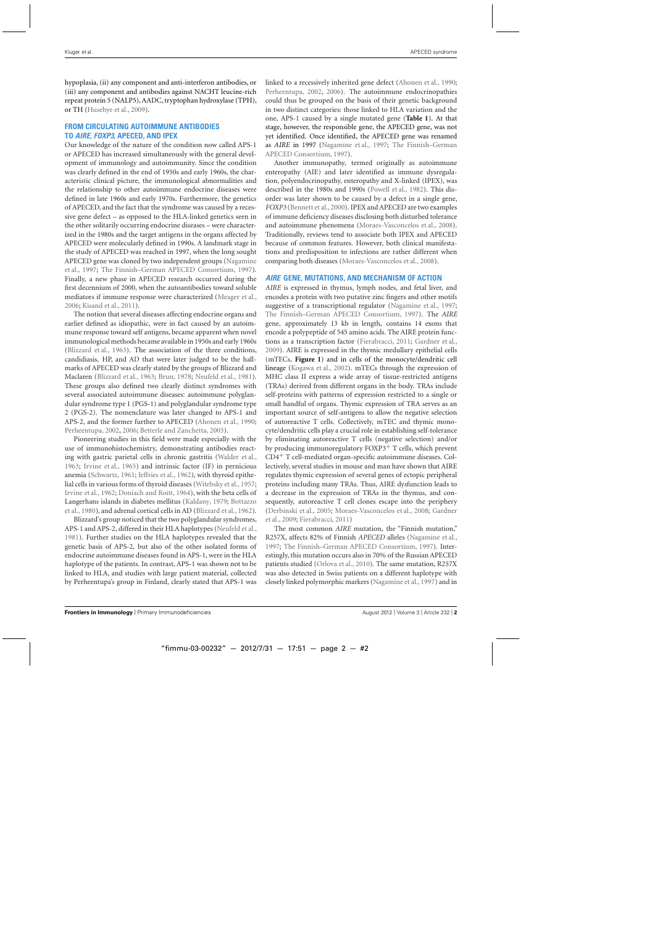hypoplasia, (ii) any component and anti-interferon antibodies, or (iii) any component and antibodies against NACHT leucine-rich repeat protein 5 (NALP5), AADC, tryptophan hydroxylase (TPH), or TH [\(Husebye et al.](#page-9-0), [2009\)](#page-9-0).

## **FROM CIRCULATING AUTOIMMUNE ANTIBODIES TO** *AIRE***,** *FOXP3***, APECED, AND IPEX**

Our knowledge of the nature of the condition now called APS-1 or APECED has increased simultaneously with the general development of immunology and autoimmunity. Since the condition was clearly defined in the end of 1950s and early 1960s, the characteristic clinical picture, the immunological abnormalities and the relationship to other autoimmune endocrine diseases were defined in late 1960s and early 1970s. Furthermore, the genetics of APECED, and the fact that the syndrome was caused by a recessive gene defect – as opposed to the HLA-linked genetics seen in the other solitarily occurring endocrine diseases – were characterized in the 1980s and the target antigens in the organs affected by APECED were molecularly defined in 1990s. A landmark stage in the study of APECED was reached in 1997, when the long sought APE[CED gene was cloned by two independent groups \(](#page-9-0)Nagamine et al., [1997](#page-9-0); [The Finnish–German APECED Consortium, 1997](#page-10-0)). Finally, a new phase in APECED research occurred during the first decennium of 2000, when the autoantibodies toward soluble mediators if immune response were characterized [\(Meager et al.](#page-9-0), [2006;](#page-9-0) [Kisand et al., 2011](#page-9-0)).

The notion that several diseases affecting endocrine organs and earlier defined as idiopathic, were in fact caused by an autoimmune response toward self antigens, became apparent when novel immunological methods became available in 1950s and early 1960s [\(Blizzard et al., 1963\)](#page-8-0). The association of the three conditions, candidiasis, HP, and AD that were later judged to be the hallmarks of APECED was clearly stated by the groups of Blizzard and Maclaren [\(Blizzard et al., 1963;](#page-8-0) [Brun](#page-8-0), [1978](#page-8-0); [Neufeld et al.](#page-9-0), [1981](#page-9-0)). These groups also defined two clearly distinct syndromes with several associated autoimmune diseases: autoimmune polyglandular syndrome type 1 (PGS-1) and polyglandular syndrome type 2 (PGS-2). The nomenclature was later changed to APS-1 and APS-2, and the former further to APECED [\(Ahonen et al., 1990;](#page-8-0) [Perheentupa](#page-10-0), [2002](#page-10-0), [2006;](#page-10-0) [Betterle and Zanchetta, 2003](#page-8-0)).

Pioneering studies in this field were made especially with the use of immunohistochemistry, demonstrating antibodies reacting with gastric parietal cells in chronic gastritis [\(Walder et al.](#page-10-0), [1963;](#page-10-0) [Irvine et al.](#page-9-0), [1965](#page-9-0)) and intrinsic factor (IF) in pernicious anemia [\(Schwartz](#page-10-0), [1961;](#page-10-0) [Jeffries et al.](#page-9-0), [1962\)](#page-9-0), with thyroid epithelial cells in various forms of thyroid diseases [\(Witebsky et al., 1957;](#page-10-0) [Irvine et al., 1962](#page-9-0); [Doniach and Roitt, 1964\)](#page-8-0), with the beta cells of Lan[gerhans islands in diabetes mellitus](#page-8-0) [\(Kaldany](#page-9-0)[,](#page-8-0) [1979](#page-9-0)[;](#page-8-0) Bottazzo et al., [1980\)](#page-8-0), and adrenal cortical cells in AD [\(Blizzard et al.](#page-8-0), [1962](#page-8-0)).

Blizzard's group noticed that the two polyglandular syndromes, APS-1 and APS-2, differed in their HLA haplotypes [\(Neufeld et al.](#page-9-0), [1981\)](#page-9-0). Further studies on the HLA haplotypes revealed that the genetic basis of APS-2, but also of the other isolated forms of endocrine autoimmune diseases found in APS-1, were in the HLA haplotype of the patients. In contrast, APS-1 was shown not to be linked to HLA, and studies with large patient material, collected by Perheentupa's group in Finland, clearly stated that APS-1 was linked to a recessively inherited gene defect [\(Ahonen et al.](#page-8-0), [1990;](#page-8-0) [Perheentupa](#page-10-0), [2002,](#page-10-0) [2006](#page-10-0)). The autoimmune endocrinopathies could thus be grouped on the basis of their genetic background in two distinct categories: those linked to HLA variation and the one, APS-1 caused by a single mutated gene (**[Table 1](#page-2-0)**). At that stage, however, the responsible gene, the APECED gene, was not yet identified. Once identified, the APECED gene was renamed as *AIRE* in 1997 [\(Nagamine et al.](#page-9-0)[,](#page-10-0) [1997](#page-9-0)[;](#page-10-0) The Finnish–German APECED Consortium, [1997](#page-10-0)).

Another immunopathy, termed originally as autoimmune enteropathy (AIE) and later identified as immune dysregulation, polyendocrinopathy, enteropathy and X-linked (IPEX), was described in the 1980s and 1990s [\(Powell et al., 1982\)](#page-10-0). This disorder was later shown to be caused by a defect in a single gene, *FOXP3* [\(Bennett et al., 2000\)](#page-8-0). IPEX and APECED are two examples of immune deficiency diseases disclosing both disturbed tolerance and autoimmune phenomena [\(Moraes-Vasconcelos et al.](#page-9-0), [2008](#page-9-0)). Traditionally, reviews tend to associate both IPEX and APECED because of common features. However, both clinical manifestations and predisposition to infections are rather different when comparing both diseases [\(Moraes-Vasconcelos et al.](#page-9-0), [2008\)](#page-9-0).

## *AIRE* **GENE, MUTATIONS, AND MECHANISM OF ACTION**

*AIRE* is expressed in thymus, lymph nodes, and fetal liver, and encodes a protein with two putative zinc fingers and other motifs suggestive of a transcriptional regulator [\(Nagamine et al.](#page-9-0), [1997;](#page-9-0) [The Finnish–German APECED Consortium](#page-10-0), [1997](#page-10-0)). The *AIRE* gene, approximately 13 kb in length, contains 14 exons that encode a polypeptide of 545 amino acids. The AIRE protein functions as a transcription factor [\(Fierabracci, 2011](#page-9-0); [Gardner et al.](#page-9-0), [2009\)](#page-9-0). AIRE is expressed in the thymic medullary epithelial cells (mTECs, **[Figure 1](#page-3-0)**) and in cells of the monocyte/dendritic cell lineage [\(Kogawa et al.](#page-9-0), [2002\)](#page-9-0). mTECs through the expression of MHC class II express a wide array of tissue-restricted antigens (TRAs) derived from different organs in the body. TRAs include self-proteins with patterns of expression restricted to a single or small handful of organs. Thymic expression of TRA serves as an important source of self-antigens to allow the negative selection of autoreactive T cells. Collectively, mTEC and thymic monocyte/dendritic cells play a crucial role in establishing self-tolerance by eliminating autoreactive T cells (negative selection) and/or by producing immunoregulatory FOXP3+ T cells, which prevent CD4+ T cell-mediated organ-specific autoimmune diseases. Collectively, several studies in mouse and man have shown that AIRE regulates thymic expression of several genes of ectopic peripheral proteins including many TRAs. Thus, AIRE dysfunction leads to a decrease in the expression of TRAs in the thymus, and consequently, autoreactive T cell clones escape into the periphery [\(Derbinski et al., 2005;](#page-8-0) [Moraes-Vasconcelos et al., 2008;](#page-9-0) Gardner et al., [2009](#page-9-0); [Fierabracci](#page-9-0), [2011\)](#page-9-0)

The most common *AIRE* mutation, the "Finnish mutation," R257X, affects 82% of Finnish *APECED* alleles [\(Nagamine et al.](#page-9-0), [1997;](#page-9-0) [The Finnish–German APECED Consortium](#page-10-0), [1997](#page-10-0)). Interestingly, this mutation occurs also in 70% of the Russian APECED patients studied [\(Orlova et al.](#page-10-0), [2010\)](#page-10-0). The same mutation, R257X was also detected in Swiss patients on a different haplotype with closely linked polymorphic markers [\(Nagamine et al., 1997](#page-9-0)) and in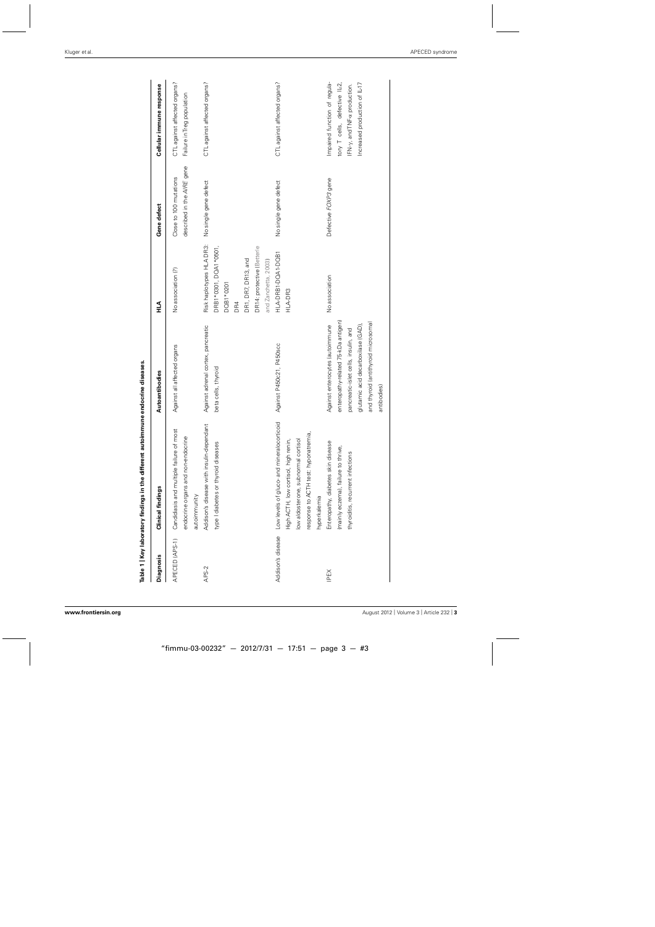<span id="page-2-0"></span>

|                   | Table 1   Key laboratory findings in the different autoimm | une endocrine diseases.              |                            |                            |                               |
|-------------------|------------------------------------------------------------|--------------------------------------|----------------------------|----------------------------|-------------------------------|
| Diagnosis         | <b>Clinical findings</b>                                   | Autoantibodies                       | ∠<br>H                     | Gene defect                | Cellular immune response      |
| APECED (APS-1)    | Candidiasis and multiple failure of most                   | Against all affected organs          | No association (?)         | Close to 100 mutations     | CTL against affected organs?  |
|                   | endocrine organs and non-endocrine                         |                                      |                            | described in the AIRE gene | Failure in Treg population    |
|                   | autoimmunity                                               |                                      |                            |                            |                               |
| APS-2             | Addison's disease with insulin-dependant                   | Against adrenal cortex, pancreatic   | Risk haplotypes HLA DR3:   | No single gene defect      | CTL against affected organs?  |
|                   | type I diabetes or thyroid diseases                        | beta cells, thyroid                  | DRB1*0301, DQA1*0501,      |                            |                               |
|                   |                                                            |                                      | DQB1*0201                  |                            |                               |
|                   |                                                            |                                      | DR4                        |                            |                               |
|                   |                                                            |                                      | DR1, DR7, DR13, and        |                            |                               |
|                   |                                                            |                                      | DR14: protective (Betterle |                            |                               |
|                   |                                                            |                                      | and Zanchetta, 2003)       |                            |                               |
| Addison's disease | Low levels of gluco- and mineralocorticoid                 | Against P450c21, P450scc             | HLA-DRB1-DQA1-DQB1         | No single gene defect      | CTL against affected organs?  |
|                   | High ACTH, low cortisol, high renin,                       |                                      | HLA-DR3                    |                            |                               |
|                   | low aldosterone, subnormal cortisol                        |                                      |                            |                            |                               |
|                   | response to ACTH test: hyponatremia,                       |                                      |                            |                            |                               |
|                   | hyperkalemia                                               |                                      |                            |                            |                               |
| IPEX              | Enteropathy, diabetes skin disease                         | Against enterocytes (autoimmune      | No association             | Defective FOXP3 gene       | Impaired function of regula-  |
|                   | (mainly eczema), failure to thrive,                        | enteropathy-related 75-kDa antigen)  |                            |                            | tory T cells, defective IL-2, |
|                   | thyroiditis, recurrent infections                          | pancreatic-islet cells, insulin, and |                            |                            | FN-y, and TNF-a production.   |
|                   |                                                            | glutamic acid decarboxilase (GAD),   |                            |                            | Increased production of IL-17 |
|                   |                                                            | and thyroid (antithyroid microsomal  |                            |                            |                               |
|                   |                                                            | antibodies)                          |                            |                            |                               |
|                   |                                                            |                                      |                            |                            |                               |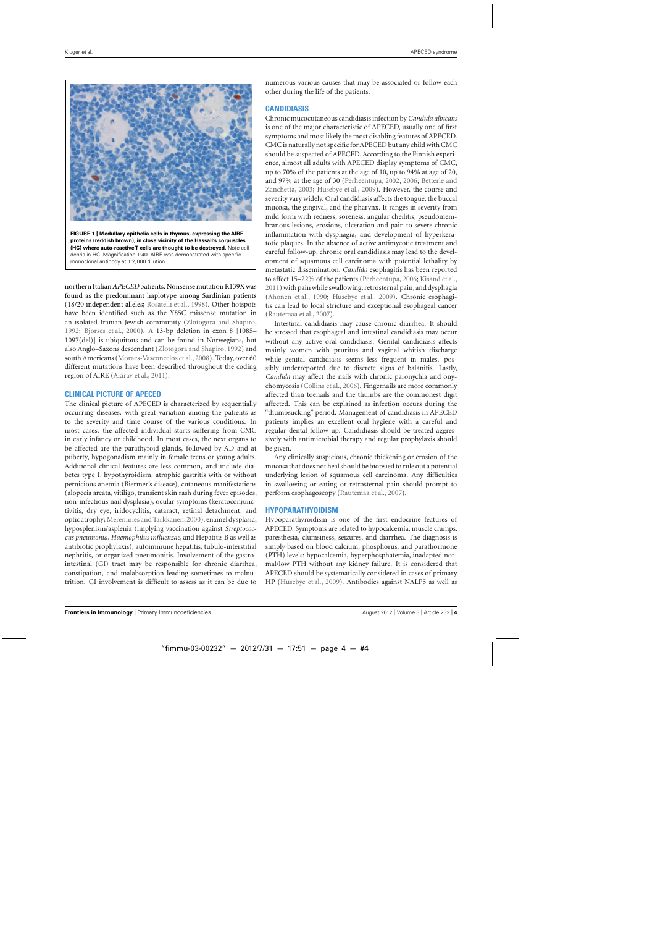<span id="page-3-0"></span>

**FIGURE 1 | Medullary epithelia cells in thymus, expressing the AIRE proteins (reddish brown), in close vicinity of the Hassall's corpuscles (HC) where auto-reactive T cells are thought to be destroyed.** Note cell debris in HC. Magnification 1:40. AIRE was demonstrated with specific monoclonal antibody at 1:2,000 dilution.

northern Italian*APECED* patients. Nonsense mutation R139X was found as the predominant haplotype among Sardinian patients (18/20 independent alleles; [Rosatelli et al.](#page-10-0), [1998\)](#page-10-0). Other hotspots have been identified such as the Y85C missense mutation in an isolated Iranian Jewish community [\(Zlotogora and Shapiro](#page-10-0), [1992;](#page-10-0) [Björses et al., 2000\)](#page-8-0). A 13-bp deletion in exon 8 [1085– 1097(del)] is ubiquitous and can be found in Norwegians, but also Anglo–Saxons descendant [\(Zlotogora and Shapiro](#page-10-0), [1992](#page-10-0)) and south Americans [\(Moraes-Vasconcelos et al., 2008](#page-9-0)). Today, over 60 different mutations have been described throughout the coding region of AIRE [\(Akirav et al.](#page-8-0), [2011\)](#page-8-0).

## **CLINICAL PICTURE OF APECED**

The clinical picture of APECED is characterized by sequentially occurring diseases, with great variation among the patients as to the severity and time course of the various conditions. In most cases, the affected individual starts suffering from CMC in early infancy or childhood. In most cases, the next organs to be affected are the parathyroid glands, followed by AD and at puberty, hypogonadism mainly in female teens or young adults. Additional clinical features are less common, and include diabetes type I, hypothyroidism, atrophic gastritis with or without pernicious anemia (Biermer's disease), cutaneous manifestations (alopecia areata, vitiligo, transient skin rash during fever episodes, non-infectious nail dysplasia), ocular symptoms (keratoconjunctivitis, dry eye, iridocyclitis, cataract, retinal detachment, and optic atrophy; [Merenmies and Tarkkanen,2000](#page-9-0)), enamel dysplasia, hyposplenism/asplenia (implying vaccination against *Streptococcus pneumonia, Haemophilus influenzae*, and Hepatitis B as well as antibiotic prophylaxis), autoimmune hepatitis, tubulo-interstitial nephritis, or organized pneumonitis. Involvement of the gastrointestinal (GI) tract may be responsible for chronic diarrhea, constipation, and malabsorption leading sometimes to malnutrition. GI involvement is difficult to assess as it can be due to numerous various causes that may be associated or follow each other during the life of the patients.

## **CANDIDIASIS**

Chronic mucocutaneous candidiasis infection by *Candida albicans* is one of the major characteristic of APECED, usually one of first symptoms and most likely the most disabling features of APECED. CMC is naturally not specific for APECED but any child with CMC should be suspected of APECED. According to the Finnish experience, almost all adults with APECED display symptoms of CMC, up to 70% of the patients at the age of 10, up to 94% at age of 20, and 97% [at](#page-8-0) [the](#page-8-0) [age](#page-8-0) [of](#page-8-0) [30](#page-8-0) [\(Perheentupa](#page-10-0)[,](#page-8-0) [2002](#page-10-0)[,](#page-8-0) [2006;](#page-10-0) Betterle and Zanchetta, [2003](#page-8-0); [Husebye et al.](#page-9-0), [2009](#page-9-0)). However, the course and severity vary widely. Oral candidiasis affects the tongue, the buccal mucosa, the gingival, and the pharynx. It ranges in severity from mild form with redness, soreness, angular cheilitis, pseudomembranous lesions, erosions, ulceration and pain to severe chronic inflammation with dysphagia, and development of hyperkeratotic plaques. In the absence of active antimycotic treatment and careful follow-up, chronic oral candidiasis may lead to the development of squamous cell carcinoma with potential lethality by metastatic dissemination. *Candida* esophagitis has been reported to affect 15–22% of the patients [\(Perheentupa, 2006](#page-10-0); [Kisand et al.](#page-9-0), [2011\)](#page-9-0) with pain while swallowing, retrosternal pain, and dysphagia [\(Ahonen et al.](#page-8-0), [1990;](#page-8-0) [Husebye et al.](#page-9-0), [2009](#page-9-0)). Chronic esophagitis can lead to local stricture and exceptional esophageal cancer [\(Rautemaa et al.](#page-10-0), [2007\)](#page-10-0).

Intestinal candidiasis may cause chronic diarrhea. It should be stressed that esophageal and intestinal candidiasis may occur without any active oral candidiasis. Genital candidiasis affects mainly women with pruritus and vaginal whitish discharge while genital candidiasis seems less frequent in males, possibly underreported due to discrete signs of balanitis. Lastly, *Candida* may affect the nails with chronic paronychia and onychomycosis [\(Collins et al., 2006](#page-8-0)). Fingernails are more commonly affected than toenails and the thumbs are the commonest digit affected. This can be explained as infection occurs during the "thumbsucking" period. Management of candidiasis in APECED patients implies an excellent oral hygiene with a careful and regular dental follow-up. Candidiasis should be treated aggressively with antimicrobial therapy and regular prophylaxis should be given.

Any clinically suspicious, chronic thickening or erosion of the mucosa that does not heal should be biopsied to rule out a potential underlying lesion of squamous cell carcinoma. Any difficulties in swallowing or eating or retrosternal pain should prompt to perform esophagoscopy [\(Rautemaa et al., 2007](#page-10-0)).

#### **HYPOPARATHYOIDISM**

Hypoparathyroidism is one of the first endocrine features of APECED. Symptoms are related to hypocalcemia, muscle cramps, paresthesia, clumsiness, seizures, and diarrhea. The diagnosis is simply based on blood calcium, phosphorus, and parathormone (PTH) levels: hypocalcemia, hyperphosphatemia, inadapted normal/low PTH without any kidney failure. It is considered that APECED should be systematically considered in cases of primary HP [\(Husebye et al.](#page-9-0), [2009\)](#page-9-0). Antibodies against NALP5 as well as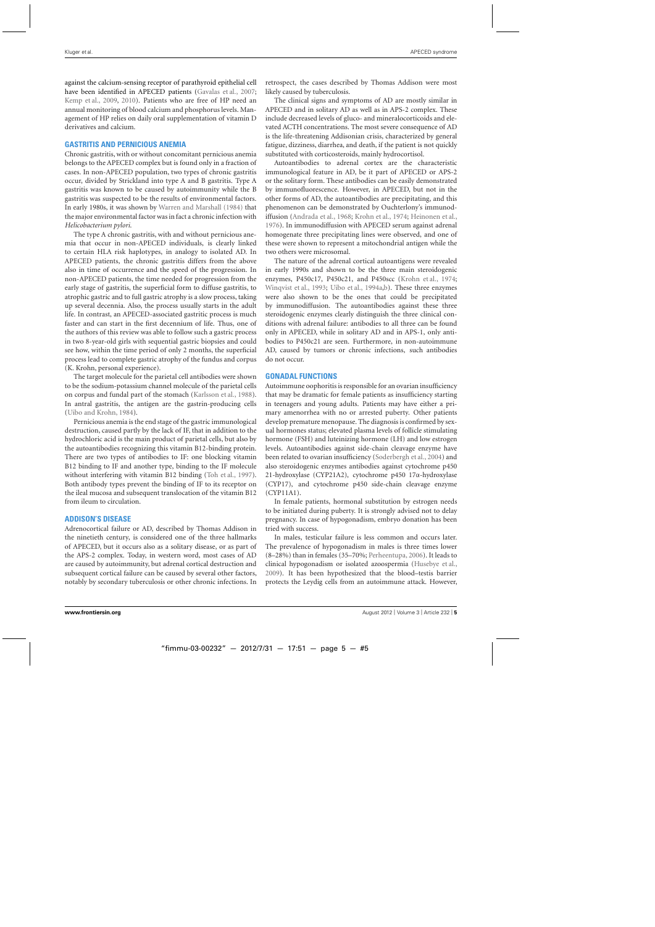against the calcium-sensing receptor of parathyroid epithelial cell have been identified in APECED patients [\(Gavalas et al., 2007;](#page-9-0) [Kemp et al., 2009,](#page-9-0) [2010\)](#page-9-0). Patients who are free of HP need an annual monitoring of blood calcium and phosphorus levels. Management of HP relies on daily oral supplementation of vitamin D derivatives and calcium.

## **GASTRITIS AND PERNICIOUS ANEMIA**

Chronic gastritis, with or without concomitant pernicious anemia belongs to the APECED complex but is found only in a fraction of cases. In non-APECED population, two types of chronic gastritis occur, divided by Strickland into type A and B gastritis. Type A gastritis was known to be caused by autoimmunity while the B gastritis was suspected to be the results of environmental factors. In early 1980s, it was shown by [Warren and Marshall](#page-10-0) [\(1984](#page-10-0)) that the major environmental factor was in fact a chronic infection with *Helicobacterium pylori*.

The type A chronic gastritis, with and without pernicious anemia that occur in non-APECED individuals, is clearly linked to certain HLA risk haplotypes, in analogy to isolated AD. In APECED patients, the chronic gastritis differs from the above also in time of occurrence and the speed of the progression. In non-APECED patients, the time needed for progression from the early stage of gastritis, the superficial form to diffuse gastritis, to atrophic gastric and to full gastric atrophy is a slow process, taking up several decennia. Also, the process usually starts in the adult life. In contrast, an APECED-associated gastritic process is much faster and can start in the first decennium of life. Thus, one of the authors of this review was able to follow such a gastric process in two 8-year-old girls with sequential gastric biopsies and could see how, within the time period of only 2 months, the superficial process lead to complete gastric atrophy of the fundus and corpus (K. Krohn, personal experience).

The target molecule for the parietal cell antibodies were shown to be the sodium-potassium channel molecule of the parietal cells on corpus and fundal part of the stomach [\(Karlsson et al., 1988](#page-9-0)). In antral gastritis, the antigen are the gastrin-producing cells [\(Uibo and Krohn](#page-10-0), [1984](#page-10-0)).

Pernicious anemia is the end stage of the gastric immunological destruction, caused partly by the lack of IF, that in addition to the hydrochloric acid is the main product of parietal cells, but also by the autoantibodies recognizing this vitamin B12-binding protein. There are two types of antibodies to IF: one blocking vitamin B12 binding to IF and another type, binding to the IF molecule without interfering with vitamin B12 binding [\(Toh et al.](#page-10-0), [1997](#page-10-0)). Both antibody types prevent the binding of IF to its receptor on the ileal mucosa and subsequent translocation of the vitamin B12 from ileum to circulation.

## **ADDISON'S DISEASE**

Adrenocortical failure or AD, described by Thomas Addison in the ninetieth century, is considered one of the three hallmarks of APECED, but it occurs also as a solitary disease, or as part of the APS-2 complex. Today, in western word, most cases of AD are caused by autoimmunity, but adrenal cortical destruction and subsequent cortical failure can be caused by several other factors, notably by secondary tuberculosis or other chronic infections. In retrospect, the cases described by Thomas Addison were most likely caused by tuberculosis.

The clinical signs and symptoms of AD are mostly similar in APECED and in solitary AD as well as in APS-2 complex. These include decreased levels of gluco- and mineralocorticoids and elevated ACTH concentrations. The most severe consequence of AD is the life-threatening Addisonian crisis, characterized by general fatigue, dizziness, diarrhea, and death, if the patient is not quickly substituted with corticosteroids, mainly hydrocortisol.

Autoantibodies to adrenal cortex are the characteristic immunological feature in AD, be it part of APECED or APS-2 or the solitary form. These antibodies can be easily demonstrated by immunofluorescence. However, in APECED, but not in the other forms of AD, the autoantibodies are precipitating, and this phenomenon can be demonstrated by Ouchterlony's immunodiffusion [\(Andrada et al.](#page-8-0), [1968;](#page-8-0) [Krohn et al., 1974;](#page-9-0) [Heinonen et al.](#page-9-0), [1976\)](#page-9-0). In immunodiffusion with APECED serum against adrenal homogenate three precipitating lines were observed, and one of these were shown to represent a mitochondrial antigen while the two others were microsomal.

The nature of the adrenal cortical autoantigens were revealed in early 1990s and shown to be the three main steroidogenic enzymes, P450c17, P450c21, and P450scc [\(Krohn et al., 1974;](#page-9-0) [Winqvist et al.](#page-10-0), [1993](#page-10-0); [Uibo et al.](#page-10-0), [1994a,b\)](#page-10-0). These three enzymes were also shown to be the ones that could be precipitated by immunodiffusion. The autoantibodies against these three steroidogenic enzymes clearly distinguish the three clinical conditions with adrenal failure: antibodies to all three can be found only in APECED, while in solitary AD and in APS-1, only antibodies to P450c21 are seen. Furthermore, in non-autoimmune AD, caused by tumors or chronic infections, such antibodies do not occur.

#### **GONADAL FUNCTIONS**

Autoimmune oophoritis is responsible for an ovarian insufficiency that may be dramatic for female patients as insufficiency starting in teenagers and young adults. Patients may have either a primary amenorrhea with no or arrested puberty. Other patients develop premature menopause. The diagnosis is confirmed by sexual hormones status; elevated plasma levels of follicle stimulating hormone (FSH) and luteinizing hormone (LH) and low estrogen levels. Autoantibodies against side-chain cleavage enzyme have been related to ovarian insufficiency [\(Soderbergh et al.](#page-10-0), [2004](#page-10-0)) and also steroidogenic enzymes antibodies against cytochrome p450 21-hydroxylase (CYP21A2), cytochrome p450 17α-hydroxylase (CYP17), and cytochrome p450 side-chain cleavage enzyme (CYP11A1).

In female patients, hormonal substitution by estrogen needs to be initiated during puberty. It is strongly advised not to delay pregnancy. In case of hypogonadism, embryo donation has been tried with success.

In males, testicular failure is less common and occurs later. The prevalence of hypogonadism in males is three times lower (8–28%) than in females (35–70%; [Perheentupa, 2006\)](#page-10-0). It leads to clinical hypogonadism or isolated azoospermia [\(Husebye et al.](#page-9-0), [2009\)](#page-9-0). It has been hypothesized that the blood–testis barrier protects the Leydig cells from an autoimmune attack. However,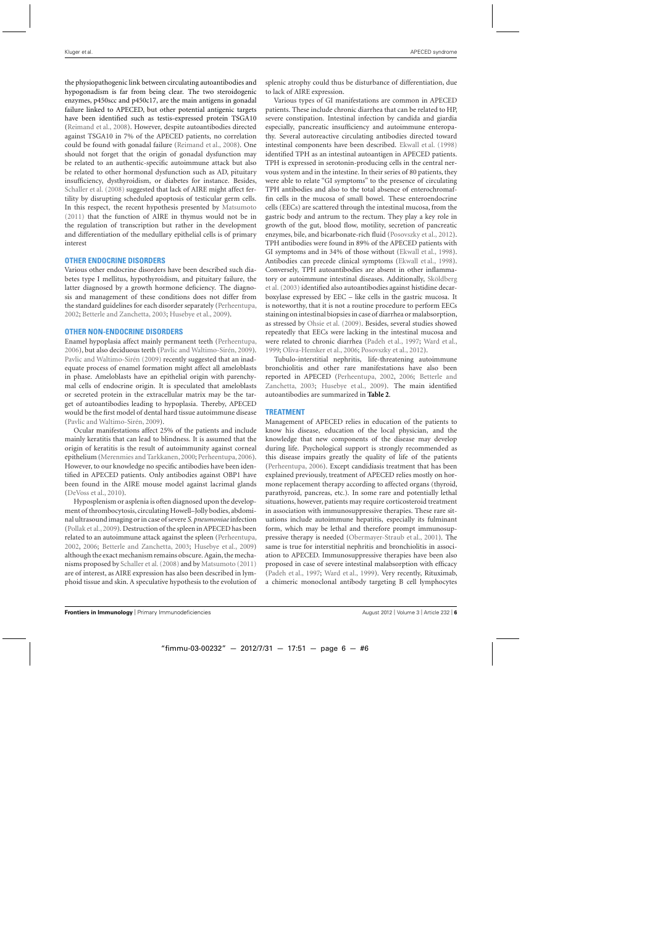the physiopathogenic link between circulating autoantibodies and hypogonadism is far from being clear. The two steroidogenic enzymes, p450scc and p450c17, are the main antigens in gonadal failure linked to APECED, but other potential antigenic targets have been identified such as testis-expressed protein TSGA10 [\(Reimand et al.](#page-10-0), [2008](#page-10-0)). However, despite autoantibodies directed against TSGA10 in 7% of the APECED patients, no correlation could be found with gonadal failure [\(Reimand et al.](#page-10-0), [2008](#page-10-0)). One should not forget that the origin of gonadal dysfunction may be related to an authentic-specific autoimmune attack but also be related to other hormonal dysfunction such as AD, pituitary insufficiency, dysthyroidism, or diabetes for instance. Besides, [Schaller et al.](#page-10-0) [\(2008\)](#page-10-0) suggested that lack of AIRE might affect fertility by disrupting scheduled apoptosis of testicular germ cells. In this respect, the recent hypothesis presented by [Matsumoto](#page-9-0) [\(2011](#page-9-0)) that the function of AIRE in thymus would not be in the regulation of transcription but rather in the development and differentiation of the medullary epithelial cells is of primary interest

## **OTHER ENDOCRINE DISORDERS**

Various other endocrine disorders have been described such diabetes type I mellitus, hypothyroidism, and pituitary failure, the latter diagnosed by a growth hormone deficiency. The diagnosis and management of these conditions does not differ from the standard guidelines for each disorder separately [\(Perheentupa](#page-10-0), [2002;](#page-10-0) [Betterle and Zanchetta, 2003;](#page-8-0) [Husebye et al., 2009](#page-9-0)).

#### **OTHER NON-ENDOCRINE DISORDERS**

Enamel hypoplasia affect mainly permanent teeth [\(Perheentupa](#page-10-0), [2006\)](#page-10-0), but also deciduous teeth [\(Pavlic and Waltimo-Sirén](#page-10-0), [2009](#page-10-0)). [Pavlic and Waltimo-Sirén](#page-10-0) [\(2009](#page-10-0)) recently suggested that an inadequate process of enamel formation might affect all ameloblasts in phase. Ameloblasts have an epithelial origin with parenchymal cells of endocrine origin. It is speculated that ameloblasts or secreted protein in the extracellular matrix may be the target of autoantibodies leading to hypoplasia. Thereby, APECED would be the first model of dental hard tissue autoimmune disease [\(Pavlic and Waltimo-Sirén](#page-10-0), [2009\)](#page-10-0).

Ocular manifestations affect 25% of the patients and include mainly keratitis that can lead to blindness. It is assumed that the origin of keratitis is the result of autoimmunity against corneal epithelium [\(Merenmies and Tarkkanen](#page-9-0), [2000](#page-9-0); [Perheentupa, 2006](#page-10-0)). However, to our knowledge no specific antibodies have been identified in APECED patients. Only antibodies against OBP1 have been found in the AIRE mouse model against lacrimal glands [\(DeVoss et al.](#page-8-0), [2010\)](#page-8-0).

Hyposplenism or asplenia is often diagnosed upon the development of thrombocytosis, circulating Howell–Jolly bodies, abdominal ultrasound imaging or in case of severe *S. pneumoniae*infection [\(Pollak et al.,2009\)](#page-10-0). Destruction of the spleen in APECED has been related to an autoimmune attack against the spleen [\(Perheentupa](#page-10-0), [2002,](#page-10-0) [2006](#page-10-0); [Betterle and Zanchetta, 2003;](#page-8-0) [Husebye et al., 2009\)](#page-9-0) although the exact mechanism remains obscure. Again, the mechanisms proposed by [Schaller et al.](#page-10-0) [\(2008](#page-10-0)) and by [Matsumoto](#page-9-0) [\(2011\)](#page-9-0) are of interest, as AIRE expression has also been described in lymphoid tissue and skin. A speculative hypothesis to the evolution of splenic atrophy could thus be disturbance of differentiation, due to lack of AIRE expression.

Various types of GI manifestations are common in APECED patients. These include chronic diarrhea that can be related to HP, severe constipation. Intestinal infection by candida and giardia especially, pancreatic insufficiency and autoimmune enteropathy. Several autoreactive circulating antibodies directed toward intestinal components have been described. [Ekwall et al.](#page-9-0) [\(1998\)](#page-9-0) identified TPH as an intestinal autoantigen in APECED patients. TPH is expressed in serotonin-producing cells in the central nervous system and in the intestine. In their series of 80 patients, they were able to relate "GI symptoms" to the presence of circulating TPH antibodies and also to the total absence of enterochromaffin cells in the mucosa of small bowel. These enteroendocrine cells (EECs) are scattered through the intestinal mucosa, from the gastric body and antrum to the rectum. They play a key role in growth of the gut, blood flow, motility, secretion of pancreatic enzymes, bile, and bicarbonate-rich fluid [\(Posovszky et al., 2012](#page-10-0)). TPH antibodies were found in 89% of the APECED patients with GI symptoms and in 34% of those without [\(Ekwall et al.](#page-9-0), [1998](#page-9-0)). Antibodies can precede clinical symptoms [\(Ekwall et al., 1998](#page-9-0)). Conversely, TPH autoantibodies are absent in other inflammatory [or](#page-10-0) [autoimmune](#page-10-0) [intestinal](#page-10-0) [diseases.](#page-10-0) [Additionally,](#page-10-0) Sköldberg et al. [\(2003](#page-10-0)) identified also autoantibodies against histidine decarboxylase expressed by EEC – like cells in the gastric mucosa. It is noteworthy, that it is not a routine procedure to perform EECs staining on intestinal biopsies in case of diarrhea or malabsorption, as stressed by [Ohsie et al.](#page-9-0) [\(2009](#page-9-0)). Besides, several studies showed repeatedly that EECs were lacking in the intestinal mucosa and were related to chronic diarrhea [\(Padeh et al.](#page-10-0), [1997](#page-10-0); [Ward et al.](#page-10-0), [1999;](#page-10-0) [Oliva-Hemker et al., 2006](#page-9-0); [Posovszky et al.](#page-10-0), [2012\)](#page-10-0).

Tubulo-interstitial nephritis, life-threatening autoimmune bronchiolitis and other rare manifestations have also been reported [in](#page-8-0) [APECED](#page-8-0) [\(Perheentupa](#page-10-0)[,](#page-8-0) [2002](#page-10-0)[,](#page-8-0) [2006;](#page-10-0) Betterle and Zanchetta, [2003;](#page-8-0) [Husebye et al., 2009](#page-9-0)). The main identified autoantibodies are summarized in **[Table 2](#page-6-0)**.

## **TREATMENT**

Management of APECED relies in education of the patients to know his disease, education of the local physician, and the knowledge that new components of the disease may develop during life. Psychological support is strongly recommended as this disease impairs greatly the quality of life of the patients [\(Perheentupa, 2006\)](#page-10-0). Except candidiasis treatment that has been explained previously, treatment of APECED relies mostly on hormone replacement therapy according to affected organs (thyroid, parathyroid, pancreas, etc.). In some rare and potentially lethal situations, however, patients may require corticosteroid treatment in association with immunosuppressive therapies. These rare situations include autoimmune hepatitis, especially its fulminant form, which may be lethal and therefore prompt immunosuppressive therapy is needed [\(Obermayer-Straub et al., 2001\)](#page-9-0). The same is true for interstitial nephritis and bronchiolitis in association to APECED. Immunosuppressive therapies have been also proposed in case of severe intestinal malabsorption with efficacy [\(Padeh et al.](#page-10-0), [1997;](#page-10-0) [Ward et al.](#page-10-0), [1999\)](#page-10-0). Very recently, Rituximab, a chimeric monoclonal antibody targeting B cell lymphocytes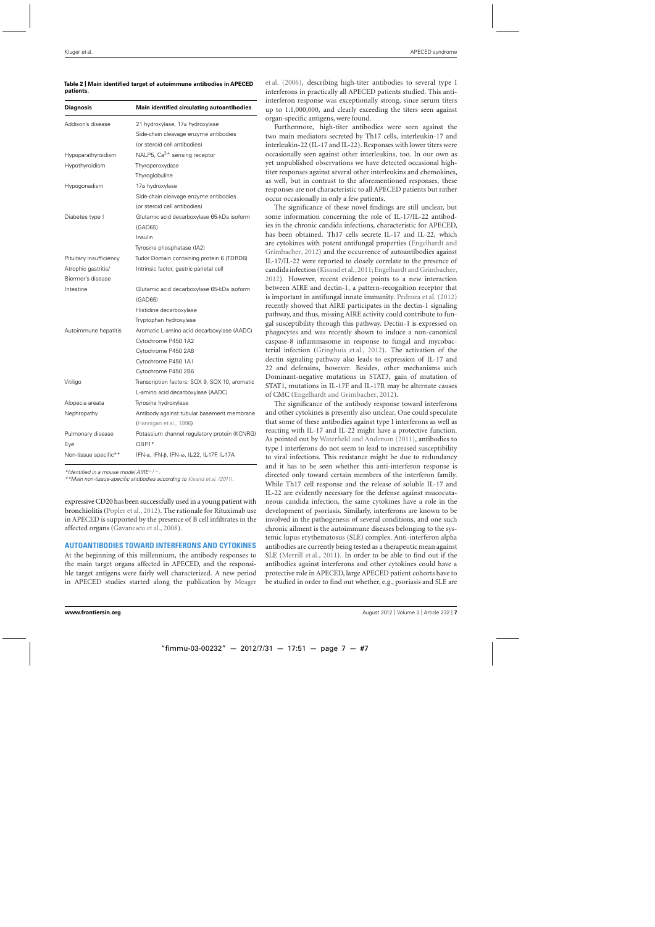<span id="page-6-0"></span>

|           | Table 2   Main identified target of autoimmune antibodies in APECED |  |
|-----------|---------------------------------------------------------------------|--|
| patients. |                                                                     |  |

| <b>Diagnosis</b>        | <b>Main identified circulating autoantibodies</b> |  |
|-------------------------|---------------------------------------------------|--|
| Addison's disease       | 21 hydroxylase, 17α hydroxylase                   |  |
|                         | Side-chain cleavage enzyme antibodies             |  |
|                         | (or steroid cell antibodies)                      |  |
| Hypoparathyroidism      | NALP5, Ca <sup>2+</sup> sensing receptor          |  |
| Hypothyroidism          | Thyroperoxydase                                   |  |
|                         | Thyroglobuline                                    |  |
| Hypogonadism            | 17α hydroxylase                                   |  |
|                         | Side-chain cleavage enzyme antibodies             |  |
|                         | (or steroid cell antibodies)                      |  |
| Diabetes type I         | Glutamic acid decarboxylase 65-kDa isoform        |  |
|                         | (GAD65)                                           |  |
|                         | Insulin                                           |  |
|                         | Tyrosine phosphatase (IA2)                        |  |
| Pituitary insufficiency | Tudor Domain containing protein 6 (TDRD6)         |  |
| Atrophic gastritis/     | Intrinsic factor, gastric parietal cell           |  |
| Biermer's disease       |                                                   |  |
| Intestine               | Glutamic acid decarboxylase 65-kDa isoform        |  |
|                         | (GAD65)                                           |  |
|                         | Histidine decarboxylase                           |  |
|                         | Tryptophan hydroxylase                            |  |
| Autoimmune hepatitis    | Aromatic L-amino acid decarboxylase (AADC)        |  |
|                         | Cytochrome P450 1A2                               |  |
|                         | Cytochrome P450 2A6                               |  |
|                         | Cytochrome P450 1A1                               |  |
|                         | Cytochrome P450 2B6                               |  |
| Vitiligo                | Transcription factors: SOX 9, SOX 10, aromatic    |  |
|                         | L-amino acid decarboxylase (AADC)                 |  |
| Alopecia areata         | Tyrosine hydroxylase                              |  |
| Nephropathy             | Antibody against tubular basement membrane        |  |
|                         | (Hannigan et al., 1996)                           |  |
| Pulmonary disease       | Potassium channel regulatory protein (KCNRG)      |  |
| Eye                     | $OBP1*$                                           |  |
| Non-tissue specific**   | IFN-α, IFN-β, IFN-ω, IL-22, IL-17F, IL-17A        |  |

\*Identified in a mouse model AIRE−/−.

\*\*Main non-tissue-specific antibodies according to [Kisand et al.](#page-9-0) [\(2011\)](#page-9-0).

expressive CD20 has been successfully used in a young patient with bronchiolitis [\(Popler et al., 2012\)](#page-10-0). The rationale for Rituximab use in APECED is supported by the presence of B cell infiltrates in the affected organs [\(Gavanescu et al.](#page-9-0), [2008\)](#page-9-0).

#### **AUTOANTIBODIES TOWARD INTERFERONS AND CYTOKINES**

At the beginning of this millennium, the antibody responses to the main target organs affected in APECED, and the responsible target antigens were fairly well characterized. A new period in APECED studies started along the publication by Meager

et al. [\(2006\)](#page-9-0), describing high-titer antibodies to several type I interferons in practically all APECED patients studied. This antiinterferon response was exceptionally strong, since serum titers up to 1:1,000,000, and clearly exceeding the titers seen against organ-specific antigens, were found.

Furthermore, high-titer antibodies were seen against the two main mediators secreted by Th17 cells, interleukin-17 and interleukin-22 (IL-17 and IL-22). Responses with lower titers were occasionally seen against other interleukins, too. In our own as yet unpublished observations we have detected occasional hightiter responses against several other interleukins and chemokines, as well, but in contrast to the aforementioned responses, these responses are not characteristic to all APECED patients but rather occur occasionally in only a few patients.

The significance of these novel findings are still unclear, but some information concerning the role of IL-17/IL-22 antibodies in the chronic candida infections, characteristic for APECED, has been obtained. Th17 cells secrete IL-17 and IL-22, which are cytokin[es with potent antifungal properties \(](#page-9-0)Engelhardt and Grimbacher, [2012](#page-9-0)) and the occurrence of autoantibodies against IL-17/IL-22 were reported to closely correlate to the presence of candida infection [\(Kisand et al.](#page-9-0),[2011;](#page-9-0) [Engelhardt and Grimbacher](#page-9-0), [2012\)](#page-9-0). However, recent evidence points to a new interaction between AIRE and dectin-1, a pattern-recognition receptor that is important in antifungal innate immunity. [Pedroza et al.](#page-10-0) [\(2012\)](#page-10-0) recently showed that AIRE participates in the dectin-1 signaling pathway, and thus, missing AIRE activity could contribute to fungal susceptibility through this pathway. Dectin-1 is expressed on phagocytes and was recently shown to induce a non-canonical caspase-8 inflammasome in response to fungal and mycobacterial infection [\(Gringhuis et al., 2012](#page-9-0)). The activation of the dectin signaling pathway also leads to expression of IL-17 and 22 and defensins, however. Besides, other mechanisms such Dominant-negative mutations in STAT3, gain of mutation of STAT1, mutations in IL-17F and IL-17R may be alternate causes of CMC [\(Engelhardt and Grimbacher](#page-9-0), [2012](#page-9-0)).

The significance of the antibody response toward interferons and other cytokines is presently also unclear. One could speculate that some of these antibodies against type I interferons as well as reacting with IL-17 and IL-22 might have a protective function. As pointed out by [Waterfield and Anderson](#page-10-0) [\(2011](#page-10-0)), antibodies to type I interferons do not seem to lead to increased susceptibility to viral infections. This resistance might be due to redundancy and it has to be seen whether this anti-interferon response is directed only toward certain members of the interferon family. While Th17 cell response and the release of soluble IL-17 and IL-22 are evidently necessary for the defense against mucocutaneous candida infection, the same cytokines have a role in the development of psoriasis. Similarly, interferons are known to be involved in the pathogenesis of several conditions, and one such chronic ailment is the autoimmune diseases belonging to the systemic lupus erythematosus (SLE) complex. Anti-interferon alpha antibodies are currently being tested as a therapeutic mean against SLE [\(Merrill et al.](#page-9-0), [2011\)](#page-9-0). In order to be able to find out if the antibodies against interferons and other cytokines could have a protective role in APECED, large APECED patient cohorts have to be studied in order to find out whether, e.g., psoriasis and SLE are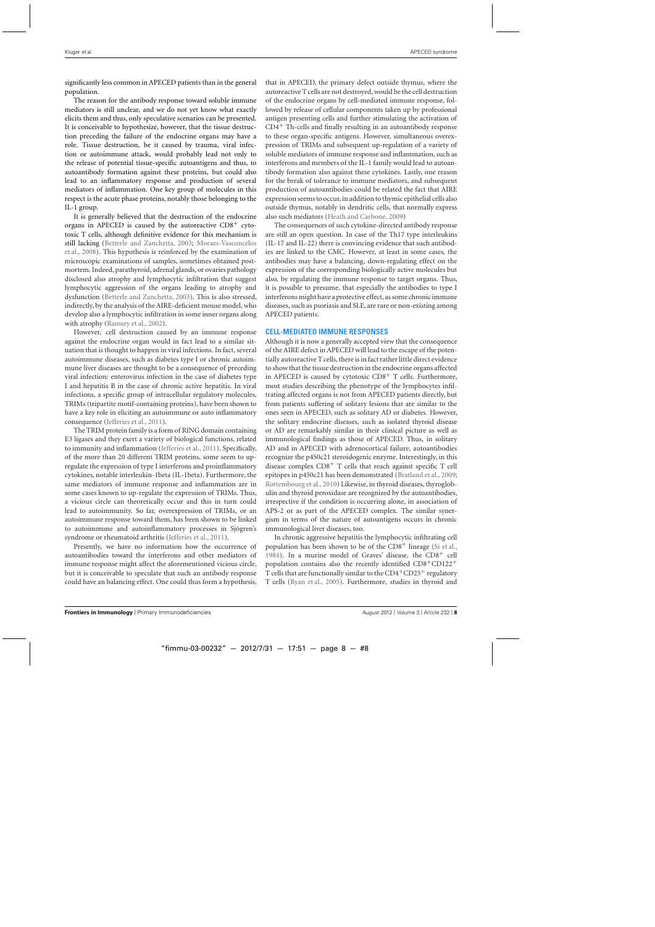significantly less common in APECED patients than in the general population.

The reason for the antibody response toward soluble immune mediators is still unclear, and we do not yet know what exactly elicits them and thus, only speculative scenarios can be presented. It is conceivable to hypothesize, however, that the tissue destruction preceding the failure of the endocrine organs may have a role. Tissue destruction, be it caused by trauma, viral infection or autoimmune attack, would probably lead not only to the release of potential tissue-specific autoantigens and thus, to autoantibody formation against these proteins, but could also lead to an inflammatory response and production of several mediators of inflammation. One key group of molecules in this respect is the acute phase proteins, notably those belonging to the IL-1 group.

It is generally believed that the destruction of the endocrine organs in APECED is caused by the autoreactive  $CD8<sup>+</sup>$  cytotoxic T cells, although definitive evidence for this mechanism is still [lacking](#page-9-0) [\(Betterle and Zanchetta](#page-8-0)[,](#page-9-0) [2003](#page-8-0)[;](#page-9-0) Moraes-Vasconcelos et al., [2008\)](#page-9-0). This hypothesis is reinforced by the examination of microscopic examinations of samples, sometimes obtained postmortem. Indeed, parathyroid, adrenal glands, or ovaries pathology disclosed also atrophy and lymphocytic infiltration that suggest lymphocytic aggression of the organs leading to atrophy and dysfunction [\(Betterle and Zanchetta](#page-8-0), [2003](#page-8-0)). This is also stressed, indirectly, by the analysis of the AIRE-deficient mouse model, who develop also a lymphocytic infiltration in some inner organs along with atrophy [\(Ramsey et al., 2002\)](#page-10-0).

However, cell destruction caused by an immune response against the endocrine organ would in fact lead to a similar situation that is thought to happen in viral infections. In fact, several autoimmune diseases, such as diabetes type I or chronic autoimmune liver diseases are thought to be a consequence of preceding viral infection: enterovirus infection in the case of diabetes type I and hepatitis B in the case of chronic active hepatitis. In viral infections, a specific group of intracellular regulatory molecules, TRIMs (tripartite motif-containing proteins), have been shown to have a key role in eliciting an autoimmune or auto inflammatory consequence [\(Jefferies et al.](#page-9-0), [2011\)](#page-9-0).

The TRIM protein family is a form of RING domain containing E3 ligases and they exert a variety of biological functions, related to immunity and inflammation [\(Jefferies et al.](#page-9-0), [2011\)](#page-9-0). Specifically, of the more than 20 different TRIM proteins, some seem to upregulate the expression of type I interferons and proinflammatory cytokines, notable interleukin-1beta (IL-1beta). Furthermore, the same mediators of immune response and inflammation are in some cases known to up-regulate the expression of TRIMs. Thus, a vicious circle can theoretically occur and this in turn could lead to autoimmunity. So far, overexpression of TRIMs, or an autoimmune response toward them, has been shown to be linked to autoimmune and autoinflammatory processes in Sjögren's syndrome or rheumatoid arthritis [\(Jefferies et al.](#page-9-0), [2011\)](#page-9-0).

Presently, we have no information how the occurrence of autoantibodies toward the interferons and other mediators of immune response might affect the aforementioned vicious circle, but it is conceivable to speculate that such an antibody response could have an balancing effect. One could thus form a hypothesis, that in APECED, the primary defect outside thymus, where the autoreactive T cells are not destroyed, would be the cell destruction of the endocrine organs by cell-mediated immune response, followed by release of cellular components taken up by professional antigen presenting cells and further stimulating the activation of  $CD4<sup>+</sup>$  Th-cells and finally resulting in an autoantibody response to these organ-specific antigens. However, simultaneous overexpression of TRIMs and subsequent up-regulation of a variety of soluble mediators of immune response and inflammation, such as interferons and members of the IL-1 family would lead to autoantibody formation also against these cytokines. Lastly, one reason for the break of tolerance to immune mediators, and subsequent production of autoantibodies could be related the fact that AIRE expression seems to occur, in addition to thymic epithelial cells also outside thymus, notably in dendritic cells, that normally express also such mediators [\(Heath and Carbone](#page-9-0), [2009](#page-9-0))

The consequences of such cytokine-directed antibody response are still an open question. In case of the Th17 type interleukins (IL-17 and IL-22) there is convincing evidence that such antibodies are linked to the CMC. However, at least in some cases, the antibodies may have a balancing, down-regulating effect on the expression of the corresponding biologically active molecules but also, by regulating the immune response to target organs. Thus, it is possible to presume, that especially the antibodies to type I interferons might have a protective effect, as some chronic immune diseases, such as psoriasis and SLE, are rare or non-existing among APECED patients.

#### **CELL-MEDIATED IMMUNE RESPONSES**

Although it is now a generally accepted view that the consequence of the AIRE defect in APECED will lead to the escape of the potentially autoreactive T cells, there is in fact rather little direct evidence to show that the tissue destruction in the endocrine organs affected in APECED is caused by cytotoxic  $CD8<sup>+</sup>$  T cells. Furthermore, most studies describing the phenotype of the lymphocytes infiltrating affected organs is not from APECED patients directly, but from patients suffering of solitary lesions that are similar to the ones seen in APECED, such as solitary AD or diabetes. However, the solitary endocrine diseases, such as isolated thyroid disease or AD are remarkably similar in their clinical picture as well as immunological findings as those of APECED. Thus, in solitary AD and in APECED with adrenocortical failure, autoantibodies recognize the p450c21 steroidogenic enzyme. Interestingly, in this disease complex  $CD8<sup>+</sup>$  T cells that reach against specific T cell epitopes in p450c21 has been demonstrated [\(Bratland et al., 2009;](#page-8-0) [Rottembourg et al.](#page-10-0), [2010](#page-10-0)) Likewise, in thyroid diseases, thyroglobulin and thyroid peroxidase are recognized by the autoantibodies, irrespective if the condition is occurring alone, in association of APS-2 or as part of the APECED complex. The similar synergism in terms of the nature of autoantigens occurs in chronic immunological liver diseases, too.

In chronic aggressive hepatitis the lymphocytic infiltrating cell population has been shown to be of the  $CD8<sup>+</sup>$  lineage [\(Si et al.](#page-10-0), [1984\)](#page-10-0). In a murine model of Graves' disease, the  $CD8<sup>+</sup>$  cell population contains also the recently identified  $CD8+CD122<sup>+</sup>$ T cells that are functionally similar to the  $CD4^+CD25^+$  regulatory T cells [\(Ryan et al.](#page-10-0), [2005\)](#page-10-0). Furthermore, studies in thyroid and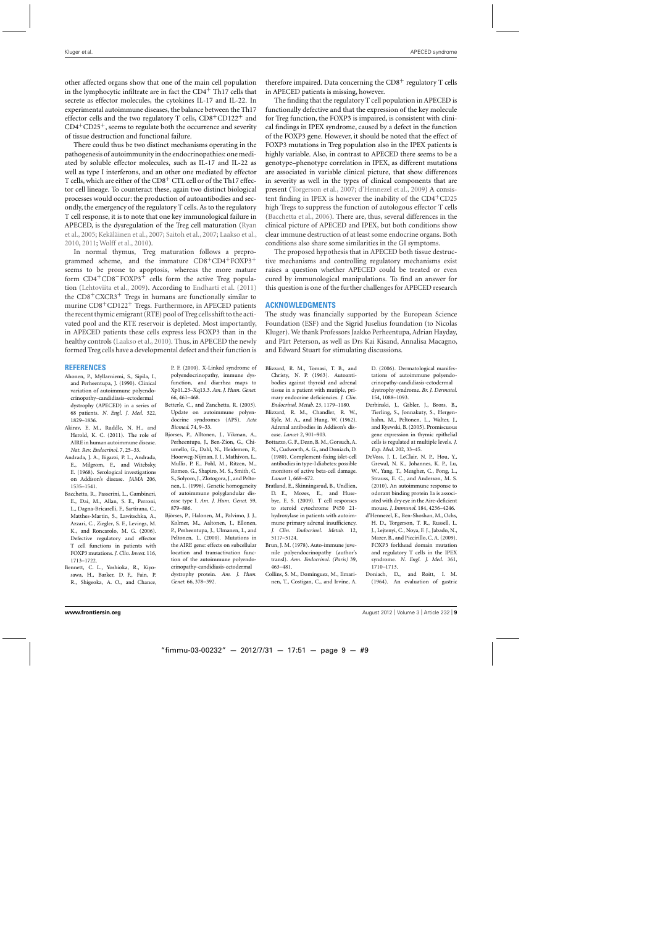<span id="page-8-0"></span>other affected organs show that one of the main cell population in the lymphocytic infiltrate are in fact the  $CD4<sup>+</sup> Th17$  cells that secrete as effector molecules, the cytokines IL-17 and IL-22. In experimental autoimmune diseases, the balance between the Th17 effector cells and the two regulatory T cells, CD8+CD122+ and  $CD4+CD25+$ , seems to regulate both the occurrence and severity of tissue destruction and functional failure.

There could thus be two distinct mechanisms operating in the pathogenesis of autoimmunity in the endocrinopathies: one mediated by soluble effector molecules, such as IL-17 and IL-22 as well as type I interferons, and an other one mediated by effector T cells, which are either of the  $CD8<sup>+</sup>$  CTL cell or of the Th17 effector cell lineage. To counteract these, again two distinct biological processes would occur: the production of autoantibodies and secondly, the emergency of the regulatory T cells. As to the regulatory T cell response, it is to note that one key immunological failure in APE[CED, is the dysregulation of the Treg cell maturation \(](#page-10-0)Ryan et al., [2005;](#page-10-0) [Kekäläinen et al., 2007;](#page-9-0) [Saitoh et al., 2007;](#page-10-0) [Laakso et al.](#page-9-0), [2010,](#page-9-0) [2011;](#page-9-0) [Wolff et al., 2010](#page-10-0)).

In normal thymus, Treg maturation follows a preprogrammed scheme, and the immature  $CD8^+CD4^+FOXP3^+$ seems to be prone to apoptosis, whereas the more mature form CD4+CD8−FOXP3+ cells form the active Treg population [\(Lehtoviita et al., 2009\)](#page-9-0). According to [Endharti et al.](#page-9-0) [\(2011\)](#page-9-0) the  $CD8+CXCR3$ <sup>+</sup> Tregs in humans are functionally similar to murine CD8+CD122+ Tregs. Furthermore, in APECED patients the recent thymic emigrant (RTE) pool of Treg cells shift to the activated pool and the RTE reservoir is depleted. Most importantly, in APECED patients these cells express less FOXP3 than in the healthy controls [\(Laakso et al., 2010\)](#page-9-0). Thus, in APECED the newly formed Treg cells have a developmental defect and their function is

#### **REFERENCES**

- Ahonen, P., Myllarniemi, S., Sipila, I., and Perheentupa, J. (1990). Clinical variation of autoimmune polyendocrinopathy–candidiasis–ectodermal dystrophy (APECED) in a series of 68 patients. *N. Engl. J. Med.* 322, 1829–1836.
- Akirav, E. M., Ruddle, N. H., and Herold, K. C. (2011). The role of AIRE in human autoimmune disease. *Nat. Rev. Endocrinol.* 7, 25–33.
- Andrada, J. A., Bigazzi, P. L., Andrada, E., Milgrom, F., and Witebsky, E. (1968). Serological investigations on Addison's disease. *JAMA* 206, 1535–1541.
- Bacchetta, R., Passerini, L., Gambineri, E., Dai, M., Allan, S. E., Perroni, L., Dagna-Bricarelli, F., Sartirana, C., Matthes-Martin, S., Lawitschka, A., Azzari, C., Ziegler, S. F., Levings, M. K., and Roncarolo, M. G. (2006). Defective regulatory and effector T cell functions in patients with FOXP3 mutations. *J. Clin. Invest*. 116, 1713–1722.
- Bennett, C. L., Yoshioka, R., Kiyosawa, H., Barker, D. F., Fain, P. R., Shigeoka, A. O., and Chance,

P. F. (2000). X-Linked syndrome of polyendocrinopathy, immune dysfunction, and diarrhea maps to Xp11.23–Xq13.3. *Am. J. Hum. Genet.* 66, 461–468.

- Betterle, C., and Zanchetta, R. (2003). Update on autoimmune polyendocrine syndromes (APS). *Acta Biomed.* 74, 9–33.
- Bjorses, P., Alltonen, J., Vikman, A., Perheentupa, J., Ben-Zion, G., Chiumello, G., Dahl, N., Heidemen, P., Hoorweg-Nijman, J. J., Mathivon, L., Mullis, P. E., Pohl, M., Ritzen, M., Romeo, G., Shapiro, M. S., Smith, C. S., Solyom, J., Zlotogora, J., and Peltonen, L. (1996). Genetic homogeneity of autoimmune polyglandular disease type I. *Am. J. Hum. Genet.* 59, 879–886.
- Björses, P., Halonen, M., Palvimo, J. J., Kolmer, M., Aaltonen, J., Ellonen, P., Perheentupa, J., Ulmanen, I., and Peltonen, L. (2000). Mutations in the AIRE gene: effects on subcellular location and transactivation function of the autoimmune polyendocrinopathy-candidiasis-ectodermal dystrophy protein. *Am. J. Hum. Genet.* 66, 378–392.

therefore impaired. Data concerning the  $CD8<sup>+</sup>$  regulatory T cells in APECED patients is missing, however.

The finding that the regulatory T cell population in APECED is functionally defective and that the expression of the key molecule for Treg function, the FOXP3 is impaired, is consistent with clinical findings in IPEX syndrome, caused by a defect in the function of the FOXP3 gene. However, it should be noted that the effect of FOXP3 mutations in Treg population also in the IPEX patients is highly variable. Also, in contrast to APECED there seems to be a genotype–phenotype correlation in IPEX, as different mutations are associated in variable clinical picture, that show differences in severity as well in the types of clinical components that are present [\(Torgerson et al.](#page-10-0), [2007](#page-10-0); d'Hennezel et al., 2009) A consistent finding in IPEX is however the inability of the  $CD4^+CD25$ high Tregs to suppress the function of autologous effector T cells (Bacchetta et al., 2006). There are, thus, several differences in the clinical picture of APECED and IPEX, but both conditions show clear immune destruction of at least some endocrine organs. Both conditions also share some similarities in the GI symptoms.

The proposed hypothesis that in APECED both tissue destructive mechanisms and controlling regulatory mechanisms exist raises a question whether APECED could be treated or even cured by immunological manipulations. To find an answer for this question is one of the further challenges for APECED research

#### **ACKNOWLEDGMENTS**

The study was financially supported by the European Science Foundation (ESF) and the Sigrid Juselius foundation (to Nicolas Kluger). We thank Professors Jaakko Perheentupa, Adrian Hayday, and Pärt Peterson, as well as Drs Kai Kisand, Annalisa Macagno, and Edward Stuart for stimulating discussions.

- Blizzard, R. M., Tomasi, T. B., and Christy, N. P. (1963). Autoantibodies against thyroid and adrenal tissue in a patient with mutiple, primary endocrine deficiencies. *J. Clin. Endocrinol. Metab*. 23, 1179–1180.
- Blizzard, R. M., Chandler, R. W., Kyle, M. A., and Hung, W. (1962). Adrenal antibodies in Addison's disease. *Lancet* 2, 901–903.
- Bottazzo, G. F., Dean, B. M., Gorsuch, A. N., Cudworth, A. G., and Doniach, D. (1980). Complement-fixing islet-cell antibodies in type-I diabetes: possible monitors of active beta-cell damage. *Lancet* 1, 668–672.
- Bratland, E., Skinningsrud, B., Undlien, D. E., Mozes, E., and Husebye, E. S. (2009). T cell responses to steroid cytochrome P450 21 hydroxylase in patients with autoimmune primary adrenal insufficiency. *J. Clin. Endocrinol. Metab.* 12, 5117–5124.
- Brun, J. M. (1978). Auto-immune juvenile polyendocrinopathy (author's transl). *Ann. Endocrinol. (Paris)* 39, 463–481.
- Collins, S. M., Dominguez, M., Ilmarinen, T., Costigan, C., and Irvine, A.

D. (2006). Dermatological manifestations of autoimmune polyendocrinopathy-candidiasis-ectodermal dystrophy syndrome. *Br. J. Dermatol.* 154, 1088–1093.

- Derbinski, J., Gäbler, J., Brors, B., Tierling, S., Jonnakuty, S., Hergenhahn, M., Peltonen, L., Walter, J., and Kyewski, B. (2005). Promiscuous gene expression in thymic epithelial cells is regulated at multiple levels. *J. Exp. Med*. 202, 33–45.
- DeVoss, J. J., LeClair, N. P., Hou, Y., Grewal, N. K., Johannes, K. P., Lu, W., Yang, T., Meagher, C., Fong, L., Strauss, E. C., and Anderson, M. S. (2010). An autoimmune response to odorant binding protein 1a is associated with dry eye in the Aire-deficient mouse. *J. Immunol.* 184, 4236–4246.
- d'Hennezel, E., Ben-Shoshan, M., Ochs, H. D., Torgerson, T. R., Russell, L. J., Lejtenyi, C., Noya, F. J., Jabado, N., Mazer, B., and Piccirillo, C. A. (2009). FOXP3 forkhead domain mutation and regulatory T cells in the IPEX syndrome. *N. Engl. J. Med*. 361, 1710–1713.
- Doniach, D., and Roitt, I. M. (1964). An evaluation of gastric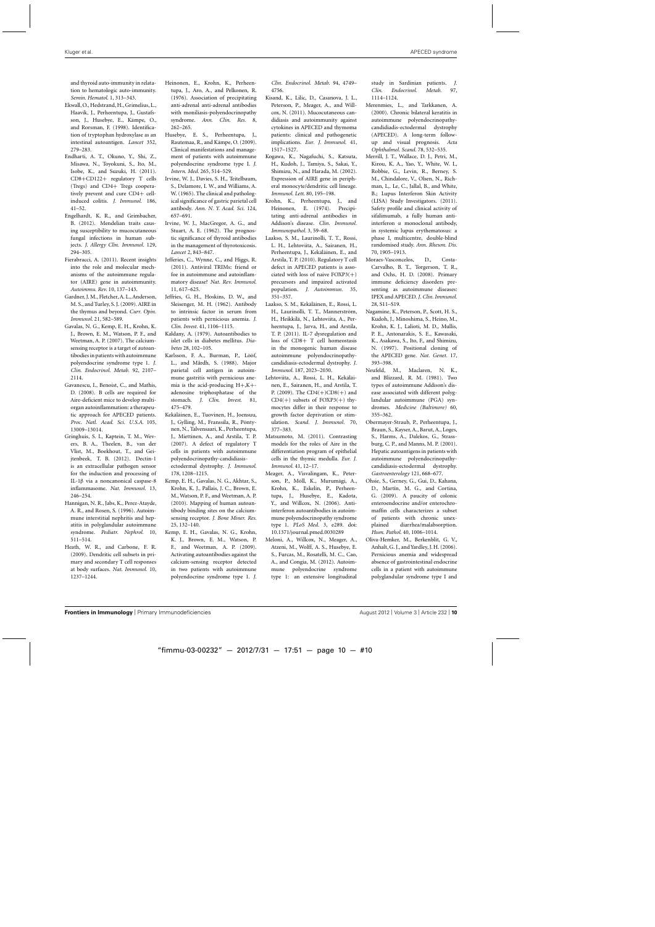<span id="page-9-0"></span>and thyroid auto-immunity in relatation to hematologic auto-immunity. *Semin. Hematol*. 1, 313–343.

- Ekwall, O., Hedstrand, H., Grimelius, L., Haavik, J., Perheentupa, J., Gustafsson, J., Husebye, E., Kämpe, O., and Rorsman, F. (1998). Identification of tryptophan hydroxylase as an intestinal autoantigen. *Lancet* 352, 279–283.
- Endharti, A. T., Okuno, Y., Shi, Z., Misawa, N., Toyokuni, S., Ito, M., Isobe, K., and Suzuki, H. (2011). CD8+CD122+ regulatory T cells (Tregs) and CD4+ Tregs cooperatively prevent and cure CD4+ cellinduced colitis. *J. Immunol.* 186, 41–52.
- Engelhardt, K. R., and Grimbacher, B. (2012). Mendelian traits causing susceptibility to mucocutaneous fungal infections in human subjects. *J. Allergy Clin. Immunol.* 129, 294–305.
- Fierabracci, A. (2011). Recent insights into the role and molecular mechanisms of the autoimmune regulator (AIRE) gene in autoimmunity. *Autoimmu. Rev.* 10, 137–143.
- Gardner, J. M., Fletcher, A. L., Anderson, M. S., and Turley, S. J. (2009). AIRE in the thymus and beyond. *Curr. Opin. Immunol.* 21, 582–589.
- Gavalas, N. G., Kemp, E. H., Krohn, K. J., Brown, E. M., Watson, P. F., and Weetman, A. P. (2007). The calciumsensing receptor is a target of autoantibodies in patients with autoimmune polyendocrine syndrome type 1. *J. Clin. Endocrinol. Metab.* 92, 2107– 2114.
- Gavanescu, I., Benoist, C., and Mathis, D. (2008). B cells are required for Aire-deficient mice to develop multiorgan autoinflammation: a therapeutic approach for APECED patients. *Proc. Natl. Acad. Sci. U.S.A.* 105, 13009–13014.
- Gringhuis, S. I., Kaptein, T. M., Wevers, B. A., Theelen, B., van der Vlist, M., Boekhout, T., and Geijtenbeek, T. B. (2012). Dectin-1 is an extracellular pathogen sensor for the induction and processing of IL-1β via a noncanonical caspase-8 inflammasome. *Nat. Immunol.* 13, 246–254.
- Hannigan, N. R., Jabs, K., Perez-Atayde, A. R., and Rosen, S. (1996). Autoimmune interstitial nephritis and hepatitis in polyglandular autoimmune syndrome. *Pediatr. Nephrol.* 10, 511–514.
- Heath, W. R., and Carbone, F. R. (2009). Dendritic cell subsets in primary and secondary T cell responses at body surfaces. *Nat. Immunol.* 10, 1237–1244.
- Heinonen, E., Krohn, K., Perheentupa, J., Aro, A., and Pelkonen, R. (1976). Association of precipitating anti-adrenal anti-adrenal antibodies with moniliasis-polyendocrinopathy syndrome. *Ann. Clin. Res.* 8, 262–265.
- Husebye, E. S., Perheentupa, J., Rautemaa, R., and Kämpe, O. (2009). Clinical manifestations and management of patients with autoimmune polyendocrine syndrome type I. *J. Intern. Med.* 265, 514–529.
- Irvine, W. J., Davies, S. H., Teitelbaum, S., Delamore, I. W., and Williams, A. W. (1965). The clinical and pathological significance of gastric parietal cell antibody. *Ann. N. Y. Acad. Sci*. 124, 657–691.
- Irvine, W. J., MacGregor, A. G., and Stuart, A. E. (1962). The prognostic significance of thyroid antibodies in the management of thyrotoxicosis. *Lancet* 2, 843–847.
- Jefferies, C., Wynne, C., and Higgs, R. (2011). Antiviral TRIMs: friend or foe in autoimmune and autoinflammatory disease? *Nat. Rev. Immunol.* 11, 617–625.
- Jeffries, G. H., Hoskins, D. W., and Sleisenger, M. H. (1962). Antibody to intrinsic factor in serum from patients with pernicious anemia. *J. Clin. Invest.* 41, 1106–1115.
- Kaldany, A. (1979). Autoantibodies to islet cells in diabetes mellitus. *Diabetes* 28, 102–105.
- Karlsson, F. A., Burman, P., Lööf, L., and Mårdh, S. (1988). Major parietal cell antigen in autoimmune gastritis with pernicious anemia is the acid-producing H+,K+ adenosine triphosphatase of the stomach. *J. Clin. Invest.* 81, 475–479.
- Kekäläinen, E., Tuovinen, H., Joensuu, J., Gylling, M., Franssila, R., Pöntynen, N., Talvensaari, K., Perheentupa, J., Miettinen, A., and Arstila, T. P. (2007). A defect of regulatory T cells in patients with autoimmune polyendocrinopathy-candidiasisectodermal dystrophy. *J. Immunol.*
- 178, 1208–1215.
- Kemp, E. H., Gavalas, N. G., Akhtar, S., Krohn, K. J., Pallais, J. C., Brown, E. M., Watson, P. F., and Weetman, A. P. (2010). Mapping of human autoantibody binding sites on the calciumsensing receptor. *J. Bone Miner. Res.* 25, 132–140.
- Kemp, E. H., Gavalas, N. G., Krohn, K. J., Brown, E. M., Watson, P. F., and Weetman, A. P. (2009). Activating autoantibodies against the calcium-sensing receptor detected in two patients with autoimmune polyendocrine syndrome type 1. *J.*

*Clin. Endocrinol. Metab.* 94, 4749– 4756.

- Kisand, K., Lilic, D., Casanova, J. L., Peterson, P., Meager, A., and Willcox, N. (2011). Mucocutaneous candidiasis and autoimmunity against cytokines in APECED and thymoma patients: clinical and pathogenetic implications. *Eur. J. Immunol*. 41, 1517–1527.
- Kogawa, K., Nagafuchi, S., Katsuta, H., Kudoh, J., Tamiya, S., Sakai, Y., Shimizu, N., and Harada, M. (2002). Expression of AIRE gene in peripheral monocyte/dendritic cell lineage. *Immunol. Lett*. 80, 195–198.
- Krohn, K., Perheentupa, J., and Heinonen, E. (1974). Precipitating anti-adrenal antibodies in Addison's disease. *Clin. Immunol. Immunopathol.* 3, 59–68.
- Laakso, S. M., Laurinolli, T. T., Rossi, L. H., Lehtoviita, A., Sairanen, H., Perheentupa, J., Kekäläinen, E., and Arstila, T. P. (2010). Regulatory T cell defect in APECED patients is associated with loss of naive  $FOXP3(+)$ precursors and impaired activated population. *J. Autoimmun.* 35, 351–357.
- Laakso, S. M., Kekäläinen, E., Rossi, L. H., Laurinolli, T. T., Mannerström, H., Heikkilä, N., Lehtoviita, A., Perheentupa, J., Jarva, H., and Arstila, T. P. (2011). IL-7 dysregulation and loss of CD8+ T cell homeostasis in the monogenic human disease autoimmune polyendocrinopathycandidiasis-ectodermal dystrophy. *J. Immunol.* 187, 2023–2030.
- Lehtoviita, A., Rossi, L. H., Kekäläinen, E., Sairanen, H., and Arstila, T. P. (2009). The CD4(+)CD8(+) and  $CD4(+)$  subsets of  $FOXP3(+)$  thymocytes differ in their response to growth factor deprivation or stimulation. *Scand. J. Immunol.* 70, 377–383.
- Matsumoto, M. (2011). Contrasting models for the roles of Aire in the differentiation program of epithelial cells in the thymic medulla*. Eur. J. Immunol.* 41, 12–17.
- Meager, A., Visvalingam, K., Peterson, P., Möll, K., Murumägi, A., Krohn, K., Eskelin, P., Perheentupa, J., Husebye, E., Kadota, Y., and Willcox, N. (2006). Antiinterferon autoantibodies in autoimmune polyendocrinopathy syndrome type 1. *PLoS Med*. 3, e289. doi: 10.1371/journal.pmed.0030289
- Meloni, A., Willcox, N., Meager, A., Atzeni, M., Wolff, A. S., Husebye, E. S., Furcas, M., Rosatelli, M. C., Cao, A., and Congia, M. (2012). Autoimmune polyendocrine syndrome type 1: an extensive longitudinal

study in Sardinian patients. *J. Clin. Endocrinol. Metab*. 97, 1114–1124.

- Merenmies, L., and Tarkkanen, A. (2000). Chronic bilateral keratitis in autoimmune polyendocrinopathycandidiadis-ectodermal dystrophy (APECED). A long-term followup and visual prognosis. *Acta Ophthalmol. Scand.* 78, 532–535.
- Merrill, J. T., Wallace, D. J., Petri, M., Kirou, K. A., Yao, Y., White, W. I., Robbie, G., Levin, R., Berney, S. M., Chindalore, V., Olsen, N., Richman, L,. Le, C., Jallal, B., and White, B.; Lupus Interferon Skin Activity (LISA) Study Investigators. (2011). Safety profile and clinical activity of sifalimumab, a fully human antiinterferon α monoclonal antibody, in systemic lupus erythematosus: a phase I, multicentre, double-blind randomised study. *Ann. Rheum. Dis.* 70, 1905–1913.
- Moraes-Vasconcelos, D., Costa-Carvalho, B. T., Torgerson, T. R., and Ochs, H. D. (2008). Primary immune deficiency disorders presenting as autoimmune diseases: IPEX and APECED. *J. Clin. Immunol*. 28, S11–S19.
- Nagamine, K., Peterson, P., Scott, H. S., Kudoh, J., Minoshima, S., Heino, M., Krohn, K. J., Lalioti, M. D., Mullis, P. E., Antonarakis, S. E., Kawasaki, K., Asakawa, S., Ito, F., and Shimizu, N. (1997). Positional cloning of the APECED gene. *Nat. Genet.* 17, 393–398.
- Neufeld, M., Maclaren, N. K., and Blizzard, R. M. (1981). Two types of autoimmune Addison's disease associated with different polyglandular autoimmune (PGA) syndromes. *Medicine (Baltimore)* 60, 355–362.
- Obermayer-Straub, P., Perheentupa, J., Braun, S., Kayser, A., Barut, A., Loges, S., Harms, A., Dalekos, G., Strassburg, C. P., and Manns, M. P. (2001). Hepatic autoantigens in patients with autoimmune polyendocrinopathycandidiasis-ectodermal dystrophy. *Gastroenterology* 121, 668–677.
- Ohsie, S., Gerney, G., Gui, D., Kahana, D., Martín, M. G., and Cortina, G. (2009). A paucity of colonic enteroendocrine and/or enterochromaffin cells characterizes a subset of patients with chronic unexplained diarrhea/malabsorption. *Hum. Pathol.* 40, 1006–1014.
- Oliva-Hemker, M., Berkenblit, G. V., Anhalt, G. J., and Yardley, J. H. (2006). Pernicious anemia and widespread absence of gastrointestinal endocrine cells in a patient with autoimmune polyglandular syndrome type I and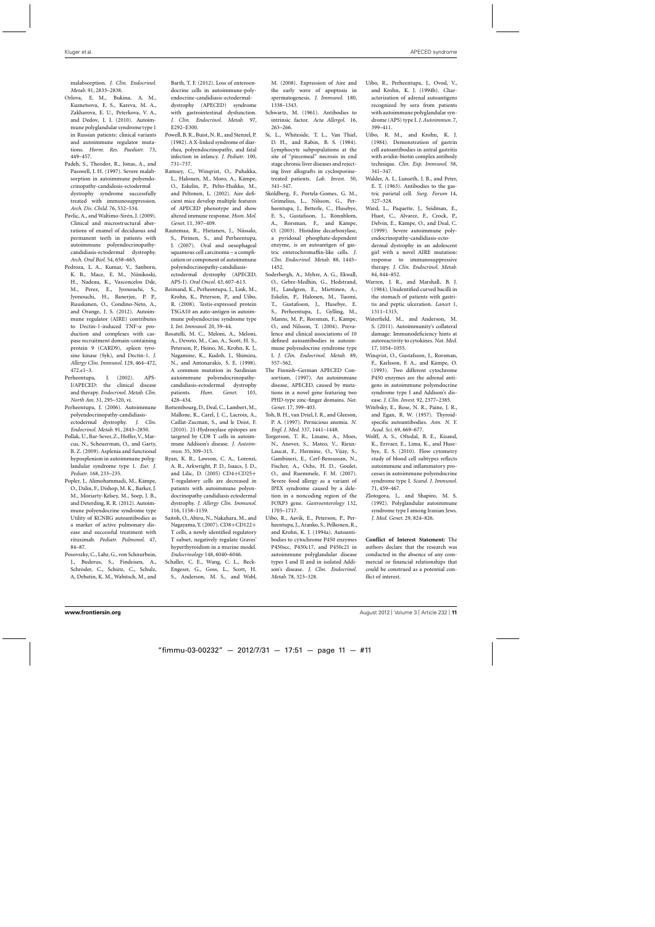<span id="page-10-0"></span>malabsorption. *J. Clin. Endocrinol. Metab.* 91, 2833–2838.

- Orlova, E. M., Bukina, A. M., Kuznetsova, E. S., Kareva, M. A., Zakharova, E. U., Peterkova, V. A., and Dedov, I. I. (2010). Autoimmune polyglandular syndrome type 1 in Russian patients: clinical variants and autoimmune regulator mutations. *Horm. Res. Paediatr.* 73, 449–457.
- Padeh, S., Theodor, R., Jonas, A., and Passwell, J. H. (1997). Severe malabsorption in autoimmune polyendocrinopathy-candidosis-ectodermal dystrophy syndrome successfully treated with immunosuppression. *Arch. Dis. Child.* 76, 532–534.
- Pavlic, A., and Waltimo-Sirén, J. (2009). Clinical and microstructural aberrations of enamel of deciduous and permanent teeth in patients with autoimmune polyendocrinopathycandidiasis-ectodermal dystrophy. *Arch. Oral Biol.* 54, 658–665.
- Pedroza, L. A., Kumar, V., Sanborn, K. B., Mace, E. M., Niinikoski, H., Nadeau, K., Vasconcelos Dde, M., Perez, E., Jyonouchi, S., Jyonouchi, H., Banerjee, P. P., Ruuskanen, O., Condino-Neto, A., and Orange, J. S. (2012). Autoimmune regulator (AIRE) contributes to Dectin-1-induced TNF-α production and complexes with caspase recruitment domain-containing protein 9 (CARD9), spleen tyrosine kinase (Syk), and Dectin-1. *J. Allergy Clin. Immunol.* 129, 464–472, 472.e1–3.
- Perheentupa, J. (2002). APS-I/APECED: the clinical disease and therapy. *Endocrinol. Metab. Clin. North Am.* 31, 295–320, vi.
- Perheentupa, J. (2006). Autoimmune polyendocrinopathy-candidiasisectodermal dystrophy. *J. Clin. Endocrinol. Metab.* 91, 2843–2850.
- Pollak, U., Bar-Sever, Z., Hoffer,V., Marcus, N., Scheuerman, O., and Garty, B. Z. (2009). Asplenia and functional hyposplenism in autoimmune polyglandular syndrome type 1. *Eur. J. Pediatr*. 168, 233–235.
- Popler, J., Alimohammadi, M., Kämpe, O., Dalin, F., Dishop, M. K., Barker, J. M., Moriarty-Kelsey, M., Soep, J. B., and Deterding, R. R. (2012). Autoimmune polyendocrine syndrome type Utility of KCNRG autoantibodies as a marker of active pulmonary disease and successful treatment with rituximab. *Pediatr. Pulmonol.* 47, 84–87.
- Posovszky, C., Lahr, G., von Schnurbein, J., Buderus, S., Findeisen, A., Schröder, C., Schütz, C., Schulz, A, Debatin, K. M., Wabitsch, M., and

Barth, T. F. (2012). Loss of enteroendocrine cells in autoimmune-polyendocrine-candidiasis-ectodermal-

- dystrophy (APECED) syndrome with gastrointestinal dysfunction. *J. Clin. Endocrinol. Metab.* 97, E292–E300.
- Powell, B. R., Buist, N. R., and Stenzel, P. (1982). A X-linked syndrome of diarrhea, polyendocrinopathy, and fatal infection in infancy. *J. Pediatr.* 100, 731–737.
- Ramsey, C., Winqvist, O., Puhakka, L., Halonen, M., Moro, A., Kämpe, O., Eskelin, P., Pelto-Huikko, M., and Peltonen, L. (2002). Aire deficient mice develop multiple features of APECED phenotype and show altered immune response. *Hum. Mol. Genet.* 11, 397–409.
- Rautemaa, R., Hietanen, J., Niissalo, S., Pirinen, S., and Perheentupa, J. (2007). Oral and oesophageal squamous cell carcinoma – a complication or component of autoimmune polyendocrinopathy-candidiasis-

ectodermal dystrophy (APECED, APS-I). *Oral Oncol.* 43, 607–613.

- Reimand, K., Perheentupa, J., Link, M., Krohn, K., Peterson, P., and Uibo, R. (2008). Testis-expressed protein TSGA10 an auto-antigen in autoimmune polyendocrine syndrome type I. *Int. Immunol.* 20, 39–44.
- Rosatelli, M. C., Meloni, A., Meloni, A., Devoto, M., Cao, A., Scott, H. S., Peterson, P., Heino, M., Krohn, K. J., Nagamine, K., Kudoh, J., Shimizu, N., and Antonarakis, S. E. (1998). A common mutation in Sardinian autoimmune polyendocrinopathycandidiasis-ectodermal dystrophy patients. *Hum. Genet*. 103, 428–434.
- Rottembourg, D., Deal, C., Lambert,M., Mallone, R., Carel, J. C., Lacroix, A., Caillat-Zucman, S., and le Deist, F. (2010). 21-Hydroxylase epitopes are targeted by CD8 T cells in autoimmune Addison's disease. *J. Autoimmun*. 35, 309–315.
- Ryan, K. R., Lawson, C. A., Lorenzi, A. R., Arkwright, P. D., Isaacs, J. D., and Lilic, D. (2005) CD4+CD25+ T-regulatory cells are decreased in patients with autoimmune polyendocrinopathy candidiasis ectodermal dystrophy. *J. Allergy Clin. Immunol.* 116, 1158–1159.
- Saitoh, O., Abiru, N., Nakahara, M., and Nagayama,Y. (2007). CD8+CD122+ T cells, a newly identified regulatory T subset, negatively regulate Graves' hyperthyroidism in a murine model. *Endocrinology* 148, 6040–6046.
- Schaller, C. E., Wang, C. L., Beck-Engeser, G., Goss, L., Scott, H. S., Anderson, M. S., and Wabl,

M. (2008). Expression of Aire and the early wave of apoptosis in spermatogenesis. *J. Immunol.* 180, 1338–1343.

- Schwartz, M. (1961). Antibodies to intrinsic factor. *Acta Allergol*. 16, 263–266.
- Si, L., Whiteside, T. L., Van Thiel, D. H., and Rabin, B. S. (1984). Lymphocyte subpopulations at the site of "piecemeal" necrosis in end stage chronic liver diseases and rejecting liver allografts in cyclosporinetreated patients. *Lab. Invest.* 50, 341–347.
- Sköldberg, F., Portela-Gomes, G. M., Grimelius, L., Nilsson, G., Perheentupa, J., Betterle, C., Husebye, E. S., Gustafsson, J., Rönnblom, A., Rorsman, F., and Kämpe, O. (2003). Histidine decarboxylase, a pyridoxal phosphate-dependent enzyme, is an autoantigen of gastric enterochromaffin-like cells. *J. Clin. Endocrinol. Metab.* 88, 1445– 1452.
- Soderbergh, A., Myhre, A. G., Ekwall, O., Gebre-Medhin, G., Hedstrand, H., Landgren, E., Miettinen, A., Eskelin, P., Halonen, M., Tuomi, T., Gustafsson, J., Husebye, E. S., Perheentupa, J., Gylling, M., Manns, M. P., Rorsman, F., Kämpe, O., and Nilsson, T. (2004). Prevalence and clinical associations of 10 defined autoantibodies in autoimmune polyendocrine syndrome type I. *J. Clin. Endocrinol. Metab.* 89, 557–562.
- The Finnish–German APECED Consortium. (1997). An autoimmune disease, APECED, caused by mutations in a novel gene featuring two PHD-type zinc-finger domains. *Nat. Genet.* 17, 399–403.
- Toh, B. H., van Driel, I. R., and Gleeson, P. A. (1997). Pernicious anemia. *N. Engl. J. Med.* 337, 1441–1448.
- Torgerson, T. R., Linane, A., Moes, N., Anover, S., Mateo, V., Rieux-Laucat, F., Hermine, O., Vijay, S., Gambineri, E., Cerf-Bensussan, N., Fischer, A., Ochs, H. D., Goulet, O., and Ruemmele, F. M. (2007). Severe food allergy as a variant of IPEX syndrome caused by a deletion in a noncoding region of the FOXP3 gene. *Gastroenterology* 132, 1705–1717.
- Uibo, R., Aavik, E., Peterson, P., Perheentupa, J., Aranko, S., Pelkonen, R., and Krohn, K. J. (1994a). Autoantibodies to cytochrome P450 enzymes P450scc, P450c17, and P450c21 in autoimmune polyglandular disease types I and II and in isolated Addison's disease. *J. Clin. Endocrinol. Metab.* 78, 323–328.
- Uibo, R., Perheentupa, J., Ovod, V., and Krohn, K. J. (1994b). Characterization of adrenal autoantigens recognized by sera from patients with autoimmune polyglandular syndrome (APS) type I. *J. Autoimmun.* 7, 399–411.
- Uibo, R. M., and Krohn, K. J. (1984). Demonstration of gastrin cell autoantibodies in antral gastritis with avidin-biotin complex antibody technique. *Clin. Exp. Immunol.* 58, 341–347.
- Walder, A. I., Lunseth, J. B., and Peter, E. T. (1963). Antibodies to the gastric parietal cell. *Surg. Forum* 14, 327–328.
- Ward, L., Paquette, J., Seidman, E., Huot, C., Alvarez, F., Crock, P., Delvin, E., Kämpe, O., and Deal, C. (1999). Severe autoimmune polyendocrinopathy-candidiasis-ectodermal dystrophy in an adolescent girl with a novel AIRE mutation: response to immunosuppressive therapy. *J. Clin. Endocrinol. Metab.* 84, 844–852.
- Warren, J. R., and Marshall, B. J. (1984). Unidentified curved bacilli in the stomach of patients with gastritis and peptic ulceration*. Lancet* 1, 1311–1315.
- Waterfield, M., and Anderson, M. S. (2011). Autoimmunity's collateral damage: Immunodeficiency hints at autoreactivity to cytokines. *Nat. Med.* 17, 1054–1055.
- Winqvist, O., Gustafsson, J., Rorsman, F., Karlsson, F. A., and Kämpe, O. (1993). Two different cytochrome P450 enzymes are the adrenal antigens in autoimmune polyendocrine syndrome type I and Addison's disease. *J. Clin. Invest.* 92, 2377–2385.
- Witebsky, E., Rose, N. R., Paine, J. R., and Egan, R. W. (1957). Thyroidspecific autoantibodies. *Ann. N. Y. Acad. Sci.* 69, 669–677.
- Wolff, A. S., Oftedal, B. E., Kisand, K., Ersvaer, E., Lima, K., and Husebye, E. S. (2010). Flow cytometry study of blood cell subtypes reflects autoimmune and inflammatory processes in autoimmune polyendocrine syndrome type I. *Scand. J. Immunol.* 71, 459–467.
- Zlotogora, J., and Shapiro, M. S. (1992). Polyglandular autoimmune syndrome type I among Iranian Jews. *J. Med. Genet.* 29, 824–826.

**Conflict of Interest Statement:** The authors declare that the research was conducted in the absence of any commercial or financial relationships that could be construed as a potential conflict of interest.